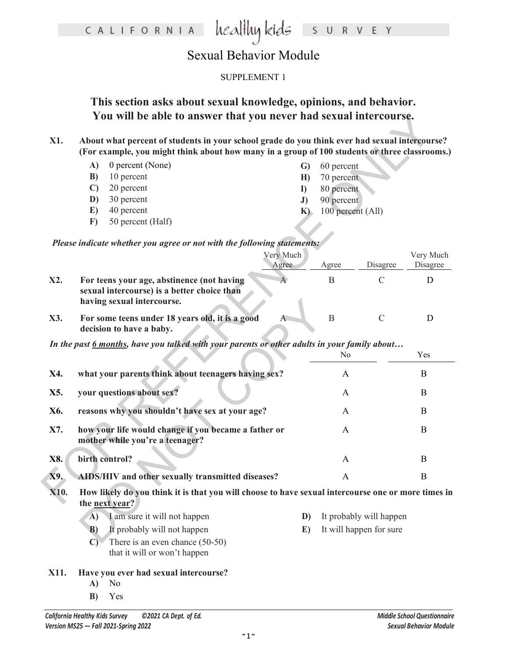### heal<del>l</del>luy kids CALIFORNIA S U R V E Y

# Sexual Behavior Module

### SUPPLEMENT 1

**This section asks about sexual knowledge, opinions, and behavior. You will be able to answer that you never had sexual intercourse.**

|          | A) 0 percent (None) |   | G) 60 percent     |
|----------|---------------------|---|-------------------|
| B)       | 10 percent          | H | 70 percent        |
|          | $C)$ 20 percent     |   | 80 percent        |
| D)       | 30 percent          |   | 90 percent        |
| E)       | 40 percent          |   | 100 percent (All) |
| $\bf{F}$ | 50 percent (Half)   |   |                   |

|      |              | You will be able to answer that you never had sexual intercourse.                                                                                                                              |                |    |                         |               |           |  |
|------|--------------|------------------------------------------------------------------------------------------------------------------------------------------------------------------------------------------------|----------------|----|-------------------------|---------------|-----------|--|
| X1.  |              | About what percent of students in your school grade do you think ever had sexual intercourse?<br>(For example, you might think about how many in a group of 100 students or three classrooms.) |                |    |                         |               |           |  |
|      | A)           | 0 percent (None)                                                                                                                                                                               |                | G) | 60 percent              |               |           |  |
|      | B)           | 10 percent                                                                                                                                                                                     |                | H) | 70 percent              |               |           |  |
|      | $\mathbf{C}$ | 20 percent                                                                                                                                                                                     | $\bf{D}$       |    | 80 percent              |               |           |  |
|      | D)           | 30 percent                                                                                                                                                                                     | J)             |    | 90 percent              |               |           |  |
|      | E)           | 40 percent                                                                                                                                                                                     |                | K  | 100 percent (All)       |               |           |  |
|      | $\bf{F}$     | 50 percent (Half)                                                                                                                                                                              |                |    |                         |               |           |  |
|      |              | Please indicate whether you agree or not with the following statements:                                                                                                                        |                |    |                         |               |           |  |
|      |              |                                                                                                                                                                                                | Very Much      |    |                         |               | Very Much |  |
|      |              |                                                                                                                                                                                                | Agree          |    | Agree                   | Disagree      | Disagree  |  |
| X2.  |              | For teens your age, abstinence (not having<br>sexual intercourse) is a better choice than<br>having sexual intercourse.                                                                        | $\overline{A}$ |    | $\, {\bf B}$            | $\mathsf{C}$  | D         |  |
| X3.  |              | For some teens under 18 years old, it is a good<br>decision to have a baby.                                                                                                                    | A              |    | $\, {\bf B}$            | $\mathcal{C}$ | D         |  |
|      |              | In the past 6 months, have you talked with your parents or other adults in your family about                                                                                                   |                |    |                         |               |           |  |
|      |              |                                                                                                                                                                                                |                |    | No                      |               | Yes       |  |
| X4.  |              | what your parents think about teenagers having sex?                                                                                                                                            |                |    | A                       |               | B         |  |
| X5.  |              | your questions about sex?                                                                                                                                                                      |                |    | A                       |               | B         |  |
| X6.  |              | reasons why you shouldn't have sex at your age?                                                                                                                                                |                |    | $\mathbf{A}$            |               | B         |  |
| X7.  |              | how your life would change if you became a father or<br>mother while you're a teenager?                                                                                                        |                |    | A                       |               | B         |  |
| X8.  |              | birth control?                                                                                                                                                                                 |                |    | A                       |               | B         |  |
| X9.  |              | AIDS/HIV and other sexually transmitted diseases?                                                                                                                                              |                |    | A                       |               | B         |  |
| X10. |              | How likely do you think it is that you will choose to have sexual intercourse one or more times in<br>the <u>next</u> year?                                                                    |                |    |                         |               |           |  |
|      | A)           | I am sure it will not happen                                                                                                                                                                   |                | D) | It probably will happen |               |           |  |
|      | $\mathbf{B}$ | It probably will not happen                                                                                                                                                                    |                | E) | It will happen for sure |               |           |  |
|      | $\mathbf{C}$ | There is an even chance $(50-50)$<br>that it will or won't happen                                                                                                                              |                |    |                         |               |           |  |
| X11. | $\mathbf{A}$ | Have you ever had sexual intercourse?<br>No                                                                                                                                                    |                |    |                         |               |           |  |

**B)** Yes